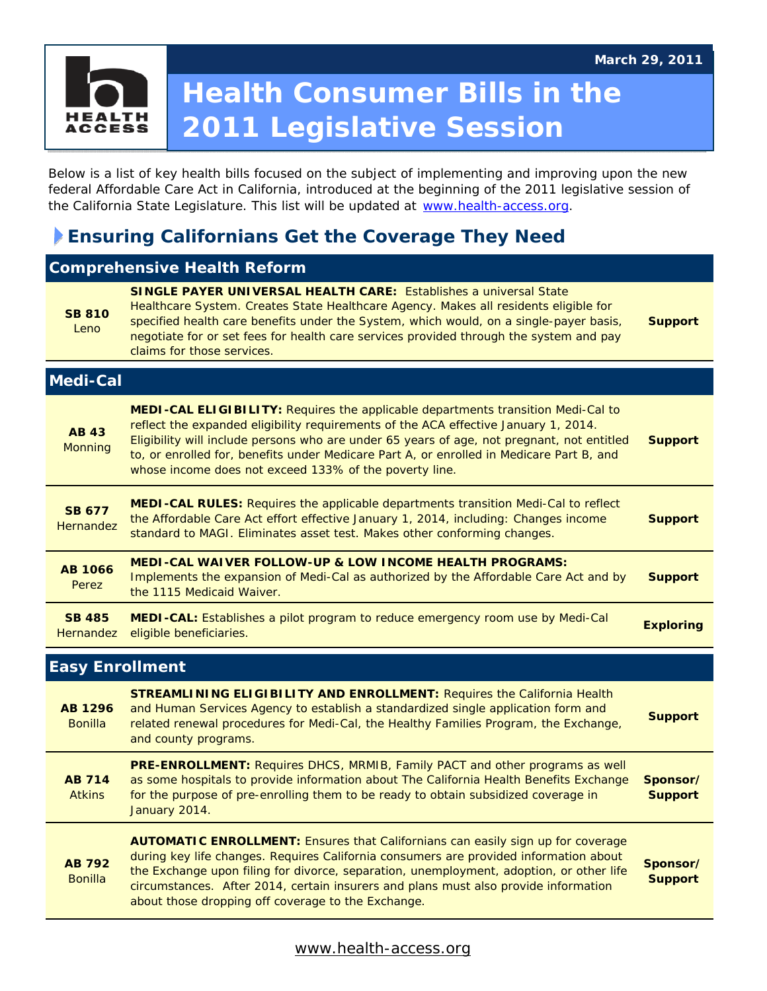# **Health Consumer Bills in the**  HEAI **2011 Legislative Session ACCESS**

Below is a list of key health bills focused on the subject of implementing and improving upon the new federal Affordable Care Act in California, introduced at the beginning of the 2011 legislative session of the California State Legislature. This list will be updated at www.health-access.org.

## **Ensuring Californians Get the Coverage They Need**

| <b>Comprehensive Health Reform</b> |                                                                                                                                                                                                                                                                                                                                                                                                                                    |                            |
|------------------------------------|------------------------------------------------------------------------------------------------------------------------------------------------------------------------------------------------------------------------------------------------------------------------------------------------------------------------------------------------------------------------------------------------------------------------------------|----------------------------|
| <b>SB 810</b><br>Leno              | <b>SINGLE PAYER UNIVERSAL HEALTH CARE:</b> Establishes a universal State<br>Healthcare System. Creates State Healthcare Agency. Makes all residents eligible for<br>specified health care benefits under the System, which would, on a single-payer basis,<br>negotiate for or set fees for health care services provided through the system and pay<br>claims for those services.                                                 | <b>Support</b>             |
| <b>Medi-Cal</b>                    |                                                                                                                                                                                                                                                                                                                                                                                                                                    |                            |
| <b>AB 43</b><br>Monning            | <b>MEDI-CAL ELIGIBILITY:</b> Requires the applicable departments transition Medi-Cal to<br>reflect the expanded eligibility requirements of the ACA effective January 1, 2014.<br>Eligibility will include persons who are under 65 years of age, not pregnant, not entitled<br>to, or enrolled for, benefits under Medicare Part A, or enrolled in Medicare Part B, and<br>whose income does not exceed 133% of the poverty line. | <b>Support</b>             |
| <b>SB 677</b><br><b>Hernandez</b>  | MEDI-CAL RULES: Requires the applicable departments transition Medi-Cal to reflect<br>the Affordable Care Act effort effective January 1, 2014, including: Changes income<br>standard to MAGI. Eliminates asset test. Makes other conforming changes.                                                                                                                                                                              | <b>Support</b>             |
| <b>AB 1066</b><br>Perez            | <b>MEDI-CAL WAIVER FOLLOW-UP &amp; LOW INCOME HEALTH PROGRAMS:</b><br>Implements the expansion of Medi-Cal as authorized by the Affordable Care Act and by<br>the 1115 Medicaid Waiver.                                                                                                                                                                                                                                            | <b>Support</b>             |
| <b>SB 485</b><br><b>Hernandez</b>  | MEDI-CAL: Establishes a pilot program to reduce emergency room use by Medi-Cal<br>eligible beneficiaries.                                                                                                                                                                                                                                                                                                                          | <b>Exploring</b>           |
| <b>Easy Enrollment</b>             |                                                                                                                                                                                                                                                                                                                                                                                                                                    |                            |
| <b>AB 1296</b><br><b>Bonilla</b>   | <b>STREAMLINING ELIGIBILITY AND ENROLLMENT: Requires the California Health</b><br>and Human Services Agency to establish a standardized single application form and<br>related renewal procedures for Medi-Cal, the Healthy Families Program, the Exchange,<br>and county programs.                                                                                                                                                | <b>Support</b>             |
| <b>AB 714</b><br><b>Atkins</b>     | PRE-ENROLLMENT: Requires DHCS, MRMIB, Family PACT and other programs as well<br>as some hospitals to provide information about The California Health Benefits Exchange<br>for the purpose of pre-enrolling them to be ready to obtain subsidized coverage in<br>January 2014.                                                                                                                                                      | Sponsor/<br><b>Support</b> |
| <b>AB 792</b><br><b>Bonilla</b>    | <b>AUTOMATIC ENROLLMENT: Ensures that Californians can easily sign up for coverage</b><br>during key life changes. Requires California consumers are provided information about<br>the Exchange upon filing for divorce, separation, unemployment, adoption, or other life<br>circumstances. After 2014, certain insurers and plans must also provide information<br>about those dropping off coverage to the Exchange.            | Sponsor/<br><b>Support</b> |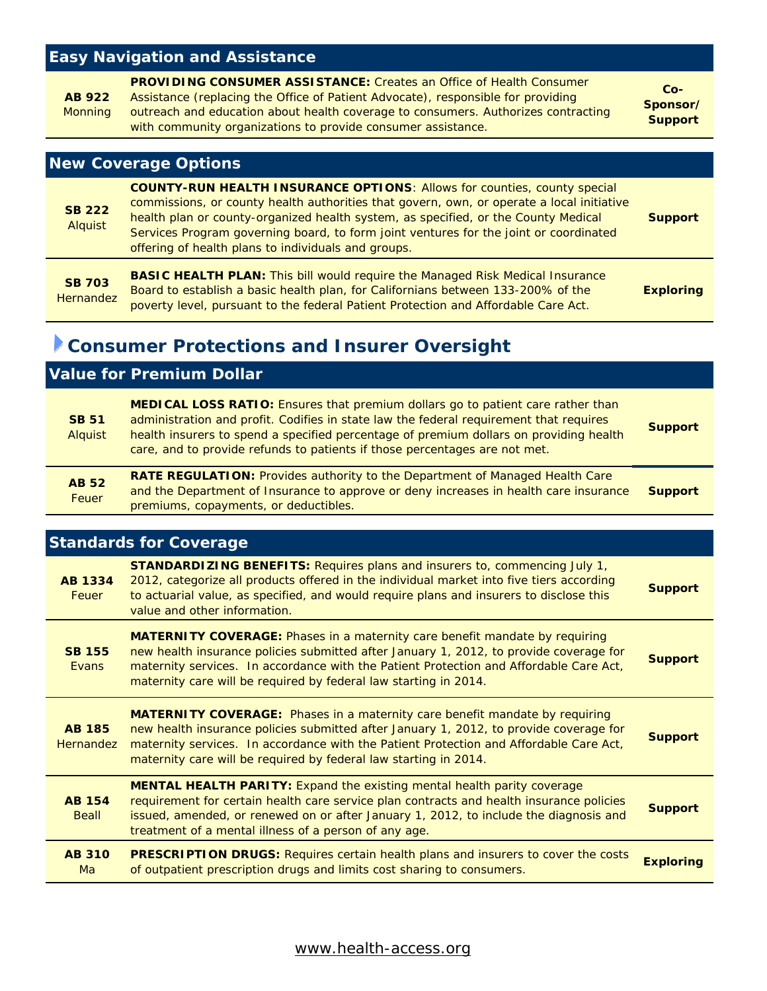## **Easy Navigation and Assistance**

|         | <b>PROVIDING CONSUMER ASSISTANCE:</b> Creates an Office of Health Consumer        | $Co-$          |
|---------|-----------------------------------------------------------------------------------|----------------|
| AB 922  | Assistance (replacing the Office of Patient Advocate), responsible for providing  | Sponsor/       |
| Monning | outreach and education about health coverage to consumers. Authorizes contracting | <b>Support</b> |
|         | with community organizations to provide consumer assistance.                      |                |

#### **New Coverage Options**

| <b>SB 222</b><br>Alquist   | <b>COUNTY-RUN HEALTH INSURANCE OPTIONS: Allows for counties, county special</b><br>commissions, or county health authorities that govern, own, or operate a local initiative<br>health plan or county-organized health system, as specified, or the County Medical<br>Services Program governing board, to form joint ventures for the joint or coordinated<br>offering of health plans to individuals and groups. | <b>Support</b>   |
|----------------------------|--------------------------------------------------------------------------------------------------------------------------------------------------------------------------------------------------------------------------------------------------------------------------------------------------------------------------------------------------------------------------------------------------------------------|------------------|
| <b>SB 703</b><br>Hernandez | <b>BASIC HEALTH PLAN: This bill would require the Managed Risk Medical Insurance</b><br>Board to establish a basic health plan, for Californians between 133-200% of the<br><u>is the state of the state of the state of the state of the state of the state of the state of the state of the state of the state of the state of the state of the state of the state of the state of the state of the state </u>   | <b>Exploring</b> |

poverty level, pursuant to the federal Patient Protection and Affordable Care Act.

# **Consumer Protections and Insurer Oversight**

## **Value for Premium Dollar**

| <b>SB 51</b><br><b>Alquist</b> | MEDICAL LOSS RATIO: Ensures that premium dollars go to patient care rather than<br>administration and profit. Codifies in state law the federal requirement that requires<br>health insurers to spend a specified percentage of premium dollars on providing health<br>care, and to provide refunds to patients if those percentages are not met. | <b>Support</b> |
|--------------------------------|---------------------------------------------------------------------------------------------------------------------------------------------------------------------------------------------------------------------------------------------------------------------------------------------------------------------------------------------------|----------------|
| <b>AB 52</b><br>Feuer          | <b>RATE REGULATION: Provides authority to the Department of Managed Health Care</b><br>and the Department of Insurance to approve or deny increases in health care insurance<br>premiums, copayments, or deductibles.                                                                                                                             | <b>Support</b> |

#### **Standards for Coverage**

| <b>AB 1334</b><br><b>Feuer</b> | <b>STANDARDIZING BENEFITS: Requires plans and insurers to, commencing July 1,</b><br>2012, categorize all products offered in the individual market into five tiers according<br>to actuarial value, as specified, and would require plans and insurers to disclose this<br>value and other information.                                   | <b>Support</b>   |
|--------------------------------|--------------------------------------------------------------------------------------------------------------------------------------------------------------------------------------------------------------------------------------------------------------------------------------------------------------------------------------------|------------------|
| <b>SB 155</b><br>Evans         | <b>MATERNITY COVERAGE:</b> Phases in a maternity care benefit mandate by requiring<br>new health insurance policies submitted after January 1, 2012, to provide coverage for<br>maternity services. In accordance with the Patient Protection and Affordable Care Act,<br>maternity care will be required by federal law starting in 2014. | <b>Support</b>   |
| <b>AB 185</b><br>Hernandez     | <b>MATERNITY COVERAGE:</b> Phases in a maternity care benefit mandate by requiring<br>new health insurance policies submitted after January 1, 2012, to provide coverage for<br>maternity services. In accordance with the Patient Protection and Affordable Care Act,<br>maternity care will be required by federal law starting in 2014. | <b>Support</b>   |
| <b>AB 154</b><br>Beall         | <b>MENTAL HEALTH PARITY: Expand the existing mental health parity coverage</b><br>requirement for certain health care service plan contracts and health insurance policies<br>issued, amended, or renewed on or after January 1, 2012, to include the diagnosis and<br>treatment of a mental illness of a person of any age.               | <b>Support</b>   |
| <b>AB 310</b><br>Ma            | <b>PRESCRIPTION DRUGS:</b> Requires certain health plans and insurers to cover the costs<br>of outpatient prescription drugs and limits cost sharing to consumers.                                                                                                                                                                         | <b>Exploring</b> |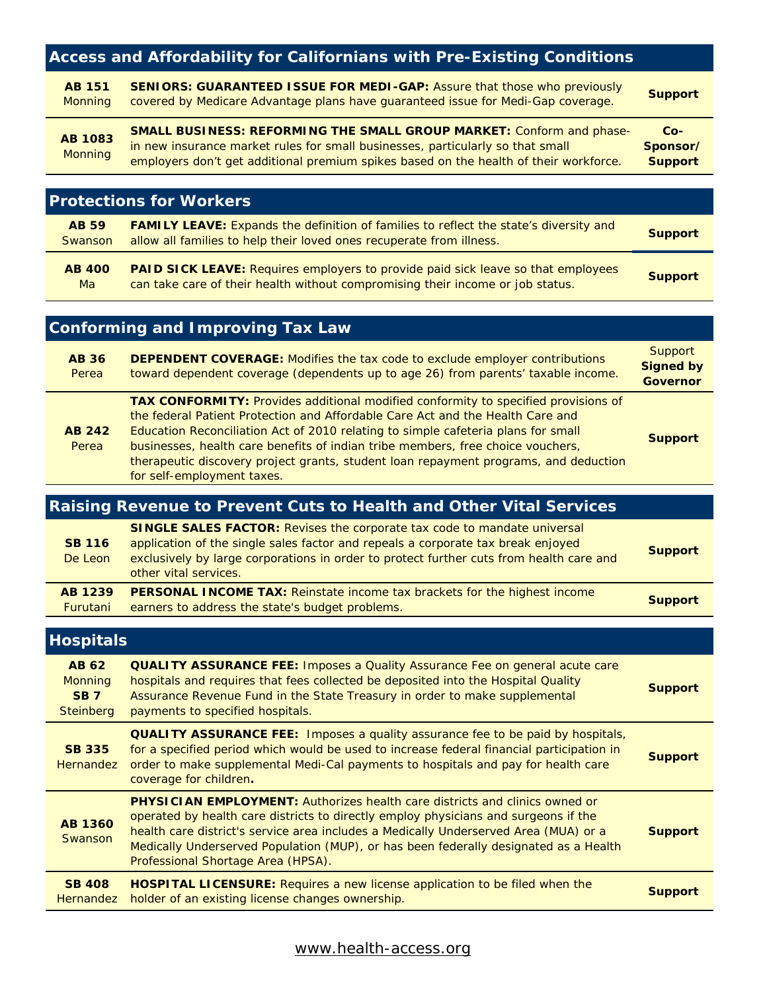| <b>Access and Affordability for Californians with Pre-Existing Conditions</b> |                                                                                                                                                                                                                                                                                                                                                                                                                                                                    |                                                       |
|-------------------------------------------------------------------------------|--------------------------------------------------------------------------------------------------------------------------------------------------------------------------------------------------------------------------------------------------------------------------------------------------------------------------------------------------------------------------------------------------------------------------------------------------------------------|-------------------------------------------------------|
| <b>AB 151</b><br><b>Monning</b>                                               | <b>SENIORS: GUARANTEED ISSUE FOR MEDI-GAP: Assure that those who previously</b><br>covered by Medicare Advantage plans have guaranteed issue for Medi-Gap coverage.                                                                                                                                                                                                                                                                                                | <b>Support</b>                                        |
| <b>AB 1083</b><br><b>Monning</b>                                              | <b>SMALL BUSINESS: REFORMING THE SMALL GROUP MARKET: Conform and phase-</b><br>in new insurance market rules for small businesses, particularly so that small<br>employers don't get additional premium spikes based on the health of their workforce.                                                                                                                                                                                                             | $Co-$<br>Sponsor/<br><b>Support</b>                   |
|                                                                               | <b>Protections for Workers</b>                                                                                                                                                                                                                                                                                                                                                                                                                                     |                                                       |
| <b>AB 59</b><br>Swanson                                                       | <b>FAMILY LEAVE:</b> Expands the definition of families to reflect the state's diversity and<br>allow all families to help their loved ones recuperate from illness.                                                                                                                                                                                                                                                                                               | <b>Support</b>                                        |
| <b>AB 400</b><br>Ma                                                           | <b>PAID SICK LEAVE:</b> Requires employers to provide paid sick leave so that employees<br>can take care of their health without compromising their income or job status.                                                                                                                                                                                                                                                                                          | <b>Support</b>                                        |
|                                                                               | <b>Conforming and Improving Tax Law</b>                                                                                                                                                                                                                                                                                                                                                                                                                            |                                                       |
| <b>AB 36</b><br>Perea                                                         | <b>DEPENDENT COVERAGE:</b> Modifies the tax code to exclude employer contributions<br>toward dependent coverage (dependents up to age 26) from parents' taxable income.                                                                                                                                                                                                                                                                                            | <b>Support</b><br><b>Signed by</b><br><b>Governor</b> |
| <b>AB 242</b><br>Perea                                                        | TAX CONFORMITY: Provides additional modified conformity to specified provisions of<br>the federal Patient Protection and Affordable Care Act and the Health Care and<br>Education Reconciliation Act of 2010 relating to simple cafeteria plans for small<br>businesses, health care benefits of indian tribe members, free choice vouchers,<br>therapeutic discovery project grants, student loan repayment programs, and deduction<br>for self-employment taxes. | <b>Support</b>                                        |
|                                                                               | Raising Revenue to Prevent Cuts to Health and Other Vital Services                                                                                                                                                                                                                                                                                                                                                                                                 |                                                       |
| <b>SB 116</b><br>De Leon                                                      | <b>SINGLE SALES FACTOR:</b> Revises the corporate tax code to mandate universal<br>application of the single sales factor and repeals a corporate tax break enjoyed<br>exclusively by large corporations in order to protect further cuts from health care and<br>other vital services.                                                                                                                                                                            | <b>Support</b>                                        |
| <b>AB 1239</b><br><u>Furutani</u>                                             | <b>PERSONAL INCOME TAX:</b> Reinstate income tax brackets for the highest income<br>earners to address the state's budget problems.                                                                                                                                                                                                                                                                                                                                | <b>Support</b>                                        |
| <b>Hospitals</b>                                                              |                                                                                                                                                                                                                                                                                                                                                                                                                                                                    |                                                       |
| <b>AB 62</b><br><b>Monning</b><br><b>SB7</b><br><b>Steinberg</b>              | <b>QUALITY ASSURANCE FEE: Imposes a Quality Assurance Fee on general acute care</b><br>hospitals and requires that fees collected be deposited into the Hospital Quality<br>Assurance Revenue Fund in the State Treasury in order to make supplemental<br>payments to specified hospitals.                                                                                                                                                                         | <b>Support</b>                                        |
| <b>SB 335</b><br><b>Hernandez</b>                                             | <b>QUALITY ASSURANCE FEE:</b> Imposes a quality assurance fee to be paid by hospitals,<br>for a specified period which would be used to increase federal financial participation in<br>order to make supplemental Medi-Cal payments to hospitals and pay for health care<br>coverage for children.                                                                                                                                                                 | <b>Support</b>                                        |
| <b>AB 1360</b><br>Swanson                                                     | <b>PHYSICIAN EMPLOYMENT:</b> Authorizes health care districts and clinics owned or<br>operated by health care districts to directly employ physicians and surgeons if the<br>health care district's service area includes a Medically Underserved Area (MUA) or a<br>Medically Underserved Population (MUP), or has been federally designated as a Health<br>Professional Shortage Area (HPSA).                                                                    | <b>Support</b>                                        |
| <b>SB 408</b><br><b>Hernandez</b>                                             | <b>HOSPITAL LICENSURE:</b> Requires a new license application to be filed when the<br>holder of an existing license changes ownership.                                                                                                                                                                                                                                                                                                                             | <b>Support</b>                                        |